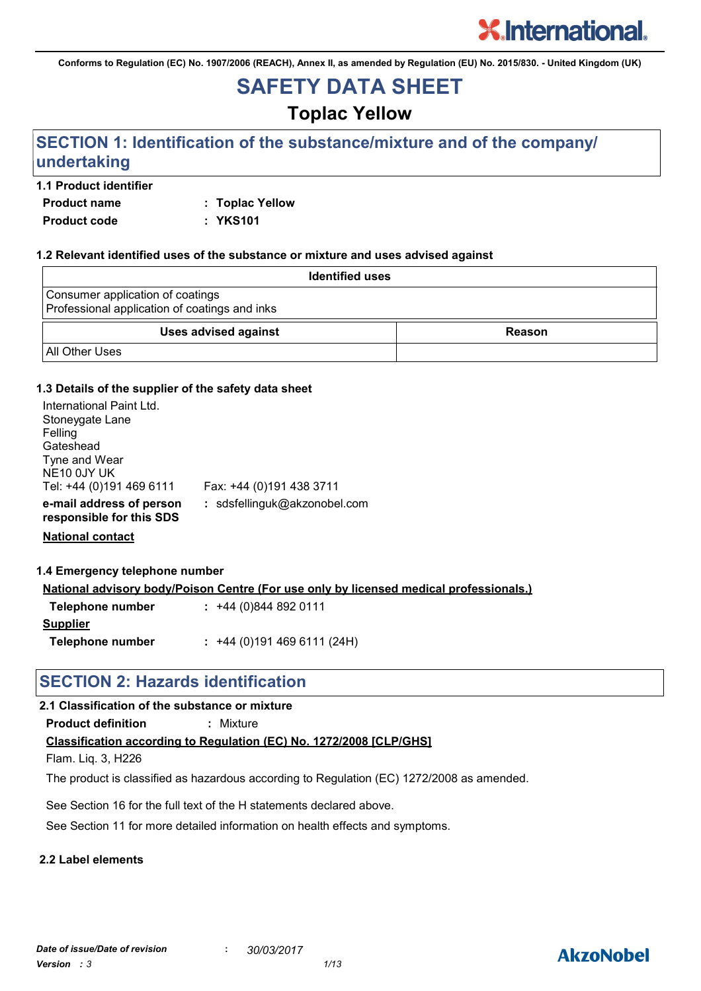**Conforms to Regulation (EC) No. 1907/2006 (REACH), Annex II, as amended by Regulation (EU) No. 2015/830. - United Kingdom (UK)**

## **SAFETY DATA SHEET**

## **Toplac Yellow**

## **SECTION 1: Identification of the substance/mixture and of the company/ undertaking**

#### **1.1 Product identifier**

**Product name : Toplac Yellow Product code : YKS101**

#### **1.2 Relevant identified uses of the substance or mixture and uses advised against**

| <b>Identified uses</b>                                                            |               |
|-----------------------------------------------------------------------------------|---------------|
| Consumer application of coatings<br>Professional application of coatings and inks |               |
| <b>Uses advised against</b>                                                       | <b>Reason</b> |
| <b>All Other Uses</b>                                                             |               |

#### **1.3 Details of the supplier of the safety data sheet**

| International Paint Ltd.<br>Stoneygate Lane<br>Felling<br>Gateshead<br>Tyne and Wear<br>NE10 0JY UK |                              |
|-----------------------------------------------------------------------------------------------------|------------------------------|
| Tel: +44 (0)191 469 6111                                                                            | Fax: +44 (0)191 438 3711     |
| e-mail address of person<br>responsible for this SDS                                                | : sdsfellinguk@akzonobel.com |

**National contact**

#### **1.4 Emergency telephone number**

**National advisory body/Poison Centre (For use only by licensed medical professionals.)**

| Telephone number | $: +44(0)8448920111$      |
|------------------|---------------------------|
| <b>Supplier</b>  |                           |
| Telephone number | $: +44(0)1914696111(24H)$ |

## **SECTION 2: Hazards identification**

#### **2.1 Classification of the substance or mixture**

**Product definition :** Mixture

#### **Classification according to Regulation (EC) No. 1272/2008 [CLP/GHS]**

Flam. Liq. 3, H226

The product is classified as hazardous according to Regulation (EC) 1272/2008 as amended.

See Section 16 for the full text of the H statements declared above.

See Section 11 for more detailed information on health effects and symptoms.

#### **2.2 Label elements**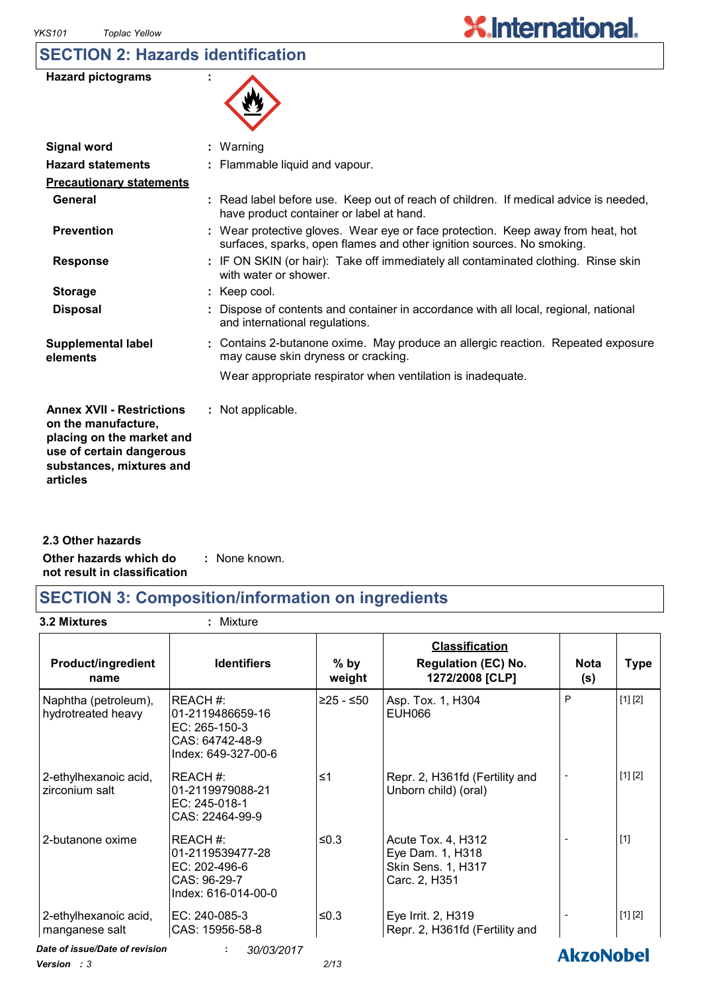## **SECTION 2: Hazards identification**

| <b>Hazard pictograms</b> |  |
|--------------------------|--|
|--------------------------|--|

| 妙 |
|---|
|---|

 $\overline{\phantom{a}}$ 

| <b>Signal word</b>                                                                                                                                       | $:$ Warning                                                                                                                                              |
|----------------------------------------------------------------------------------------------------------------------------------------------------------|----------------------------------------------------------------------------------------------------------------------------------------------------------|
| <b>Hazard statements</b>                                                                                                                                 | : Flammable liquid and vapour.                                                                                                                           |
| <b>Precautionary statements</b>                                                                                                                          |                                                                                                                                                          |
| General                                                                                                                                                  | : Read label before use. Keep out of reach of children. If medical advice is needed,<br>have product container or label at hand.                         |
| <b>Prevention</b>                                                                                                                                        | : Wear protective gloves. Wear eye or face protection. Keep away from heat, hot<br>surfaces, sparks, open flames and other ignition sources. No smoking. |
| <b>Response</b>                                                                                                                                          | : IF ON SKIN (or hair): Take off immediately all contaminated clothing. Rinse skin<br>with water or shower.                                              |
| <b>Storage</b>                                                                                                                                           | $:$ Keep cool.                                                                                                                                           |
| <b>Disposal</b>                                                                                                                                          | : Dispose of contents and container in accordance with all local, regional, national<br>and international regulations.                                   |
| <b>Supplemental label</b><br>elements                                                                                                                    | : Contains 2-butanone oxime. May produce an allergic reaction. Repeated exposure<br>may cause skin dryness or cracking.                                  |
|                                                                                                                                                          | Wear appropriate respirator when ventilation is inadequate.                                                                                              |
| <b>Annex XVII - Restrictions</b><br>on the manufacture,<br>placing on the market and<br>use of certain dangerous<br>substances, mixtures and<br>articles | : Not applicable.                                                                                                                                        |

**Other hazards which do : not result in classification** : None known. **2.3 Other hazards**

## **SECTION 3: Composition/information on ingredients**

**3.2 Mixtures :** Mixture

| <b>Product/ingredient</b><br>name          | <b>Identifiers</b>                                                                      | $%$ by<br>weight | <b>Classification</b><br><b>Regulation (EC) No.</b><br>1272/2008 [CLP]        | <b>Nota</b><br>(s) | <b>Type</b> |
|--------------------------------------------|-----------------------------------------------------------------------------------------|------------------|-------------------------------------------------------------------------------|--------------------|-------------|
| Naphtha (petroleum),<br>hydrotreated heavy | REACH#:<br>l01-2119486659-16<br>EC: 265-150-3<br>CAS: 64742-48-9<br>Index: 649-327-00-6 | ≥25 - ≤50        | Asp. Tox. 1, H304<br><b>EUH066</b>                                            | P                  | [1] [2]     |
| 2-ethylhexanoic acid,<br>zirconium salt    | REACH#:<br>01-2119979088-21<br>EC: 245-018-1<br>CAS: 22464-99-9                         | ≤1               | Repr. 2, H361fd (Fertility and<br>Unborn child) (oral)                        |                    | [1] [2]     |
| 2-butanone oxime                           | REACH#:<br>01-2119539477-28<br>EC: 202-496-6<br>CAS: 96-29-7<br>Index: 616-014-00-0     | ≤ $0.3$          | Acute Tox. 4, H312<br>Eye Dam. 1, H318<br>Skin Sens. 1, H317<br>Carc. 2, H351 |                    | $[1]$       |
| 2-ethylhexanoic acid,<br>manganese salt    | EC: 240-085-3<br>CAS: 15956-58-8                                                        | $≤0.3$           | Eye Irrit. 2, H319<br>Repr. 2, H361fd (Fertility and                          |                    | [1] [2]     |
| Date of issue/Date of revision             | 30/03/2017<br>÷                                                                         |                  |                                                                               | <b>AkzoNobel</b>   |             |

*Version : 3 2/13*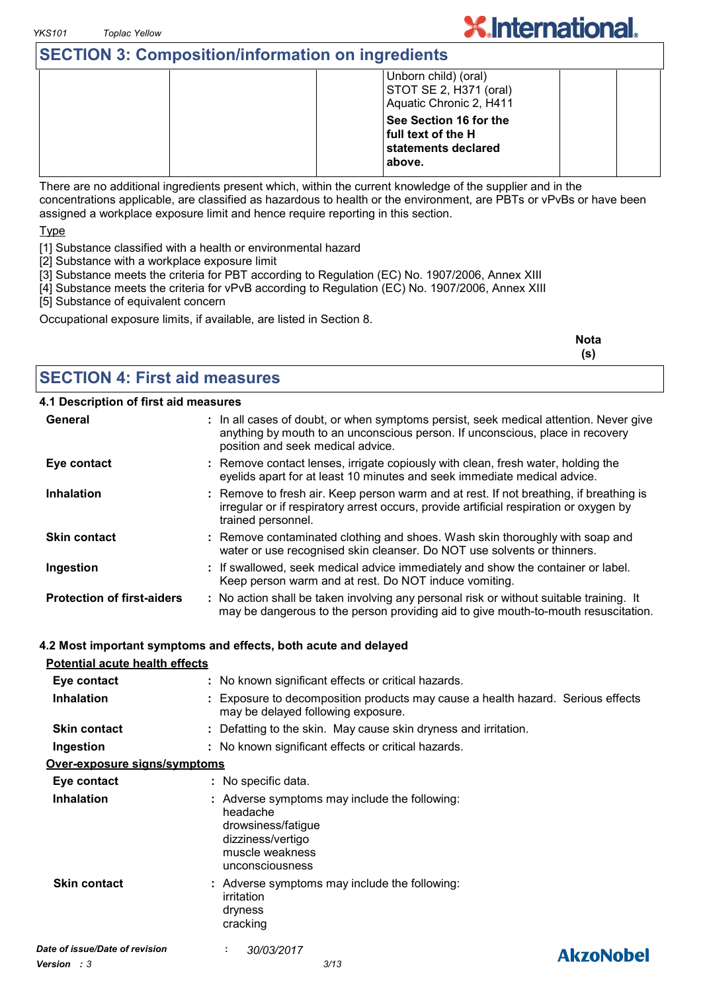## **SECTION 3: Composition/information on ingredients**

| Unborn child) (oral)<br>STOT SE 2, H371 (oral)<br>Aquatic Chronic 2, H411     |
|-------------------------------------------------------------------------------|
| See Section 16 for the<br>full text of the H<br>statements declared<br>above. |

**X.International.** 

There are no additional ingredients present which, within the current knowledge of the supplier and in the concentrations applicable, are classified as hazardous to health or the environment, are PBTs or vPvBs or have been assigned a workplace exposure limit and hence require reporting in this section.

Type

- [1] Substance classified with a health or environmental hazard
- [2] Substance with a workplace exposure limit
- [3] Substance meets the criteria for PBT according to Regulation (EC) No. 1907/2006, Annex XIII
- [4] Substance meets the criteria for vPvB according to Regulation (EC) No. 1907/2006, Annex XIII
- [5] Substance of equivalent concern

Occupational exposure limits, if available, are listed in Section 8.

| <b>Nota</b><br>(S) |
|--------------------|
|                    |

#### **SECTION 4: First aid measures**

#### **4.1 Description of first aid measures**

| General                               | : In all cases of doubt, or when symptoms persist, seek medical attention. Never give<br>anything by mouth to an unconscious person. If unconscious, place in recovery<br>position and seek medical advice. |
|---------------------------------------|-------------------------------------------------------------------------------------------------------------------------------------------------------------------------------------------------------------|
| Eye contact                           | : Remove contact lenses, irrigate copiously with clean, fresh water, holding the<br>eyelids apart for at least 10 minutes and seek immediate medical advice.                                                |
| <b>Inhalation</b>                     | : Remove to fresh air. Keep person warm and at rest. If not breathing, if breathing is<br>irregular or if respiratory arrest occurs, provide artificial respiration or oxygen by<br>trained personnel.      |
| <b>Skin contact</b>                   | : Remove contaminated clothing and shoes. Wash skin thoroughly with soap and<br>water or use recognised skin cleanser. Do NOT use solvents or thinners.                                                     |
| Ingestion                             | : If swallowed, seek medical advice immediately and show the container or label.<br>Keep person warm and at rest. Do NOT induce vomiting.                                                                   |
| <b>Protection of first-aiders</b>     | : No action shall be taken involving any personal risk or without suitable training. It<br>may be dangerous to the person providing aid to give mouth-to-mouth resuscitation.                               |
|                                       | 4.2 Most important symptoms and effects, both acute and delayed                                                                                                                                             |
| <b>Potential acute health effects</b> |                                                                                                                                                                                                             |
| Eye contact                           | : No known significant effects or critical hazards.                                                                                                                                                         |
| <b>Inhalation</b>                     | : Exposure to decomposition products may cause a health hazard. Serious effects                                                                                                                             |

may be delayed following exposure. **Skin contact :** Defatting to the skin. May cause skin dryness and irritation. **Ingestion :** No known significant effects or critical hazards. **Over-exposure signs/symptoms Eye contact :** No specific data. **Inhalation Adverse symptoms may include the following:**  $\blacksquare$ headache drowsiness/fatigue dizziness/vertigo muscle weakness unconsciousness **Skin contact** Adverse symptoms may include the following: **:** irritation dryness cracking *Date of issue/Date of revision* **:** *30/03/2017* **AkzoNobel**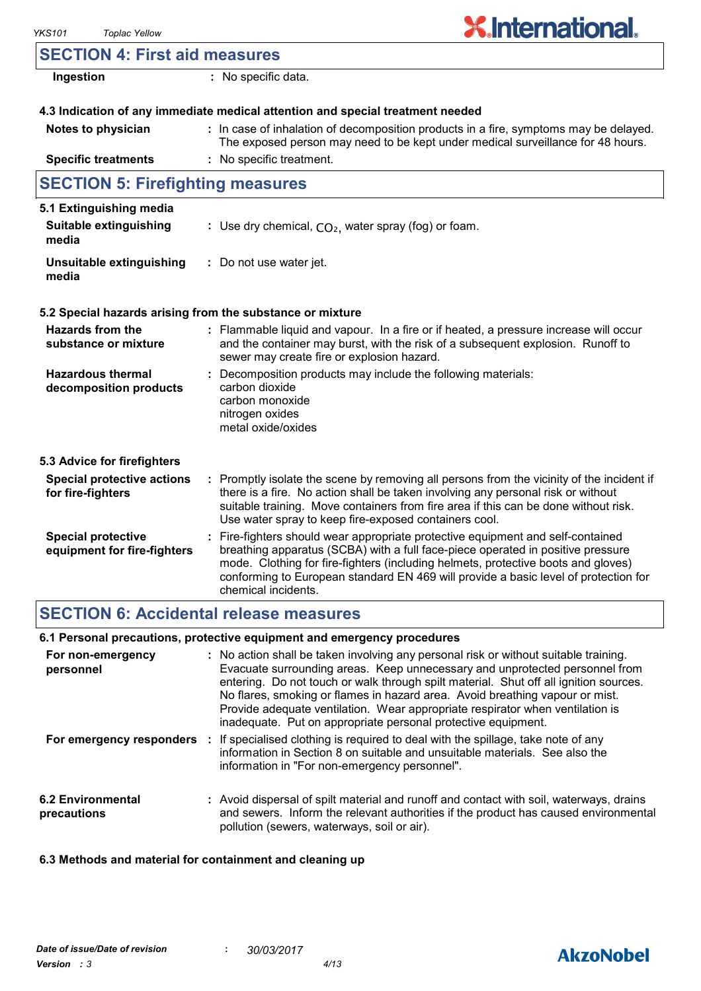## **SECTION 4: First aid measures**

| Ingestion                                                | : No specific data.                                                                                                                                                                                                                                                                                                                                                   |
|----------------------------------------------------------|-----------------------------------------------------------------------------------------------------------------------------------------------------------------------------------------------------------------------------------------------------------------------------------------------------------------------------------------------------------------------|
|                                                          | 4.3 Indication of any immediate medical attention and special treatment needed                                                                                                                                                                                                                                                                                        |
| Notes to physician                                       | : In case of inhalation of decomposition products in a fire, symptoms may be delayed.<br>The exposed person may need to be kept under medical surveillance for 48 hours.                                                                                                                                                                                              |
| <b>Specific treatments</b>                               | : No specific treatment.                                                                                                                                                                                                                                                                                                                                              |
| <b>SECTION 5: Firefighting measures</b>                  |                                                                                                                                                                                                                                                                                                                                                                       |
| 5.1 Extinguishing media                                  |                                                                                                                                                                                                                                                                                                                                                                       |
| Suitable extinguishing<br>media                          | : Use dry chemical, $CO2$ , water spray (fog) or foam.                                                                                                                                                                                                                                                                                                                |
| <b>Unsuitable extinguishing</b><br>media                 | : Do not use water jet.                                                                                                                                                                                                                                                                                                                                               |
|                                                          | 5.2 Special hazards arising from the substance or mixture                                                                                                                                                                                                                                                                                                             |
| <b>Hazards from the</b><br>substance or mixture          | : Flammable liquid and vapour. In a fire or if heated, a pressure increase will occur<br>and the container may burst, with the risk of a subsequent explosion. Runoff to<br>sewer may create fire or explosion hazard.                                                                                                                                                |
| <b>Hazardous thermal</b><br>decomposition products       | Decomposition products may include the following materials:<br>carbon dioxide<br>carbon monoxide<br>nitrogen oxides<br>metal oxide/oxides                                                                                                                                                                                                                             |
| 5.3 Advice for firefighters                              |                                                                                                                                                                                                                                                                                                                                                                       |
| <b>Special protective actions</b><br>for fire-fighters   | : Promptly isolate the scene by removing all persons from the vicinity of the incident if<br>there is a fire. No action shall be taken involving any personal risk or without<br>suitable training. Move containers from fire area if this can be done without risk.<br>Use water spray to keep fire-exposed containers cool.                                         |
| <b>Special protective</b><br>equipment for fire-fighters | : Fire-fighters should wear appropriate protective equipment and self-contained<br>breathing apparatus (SCBA) with a full face-piece operated in positive pressure<br>mode. Clothing for fire-fighters (including helmets, protective boots and gloves)<br>conforming to European standard EN 469 will provide a basic level of protection for<br>chemical incidents. |

## **SECTION 6: Accidental release measures**

### **6.1 Personal precautions, protective equipment and emergency procedures**

| For non-emergency<br>personnel          | : No action shall be taken involving any personal risk or without suitable training.<br>Evacuate surrounding areas. Keep unnecessary and unprotected personnel from<br>entering. Do not touch or walk through spilt material. Shut off all ignition sources.<br>No flares, smoking or flames in hazard area. Avoid breathing vapour or mist.<br>Provide adequate ventilation. Wear appropriate respirator when ventilation is<br>inadequate. Put on appropriate personal protective equipment. |  |
|-----------------------------------------|------------------------------------------------------------------------------------------------------------------------------------------------------------------------------------------------------------------------------------------------------------------------------------------------------------------------------------------------------------------------------------------------------------------------------------------------------------------------------------------------|--|
|                                         | For emergency responders : If specialised clothing is required to deal with the spillage, take note of any<br>information in Section 8 on suitable and unsuitable materials. See also the<br>information in "For non-emergency personnel".                                                                                                                                                                                                                                                     |  |
| <b>6.2 Environmental</b><br>precautions | : Avoid dispersal of spilt material and runoff and contact with soil, waterways, drains<br>and sewers. Inform the relevant authorities if the product has caused environmental<br>pollution (sewers, waterways, soil or air).                                                                                                                                                                                                                                                                  |  |

#### **6.3 Methods and material for containment and cleaning up**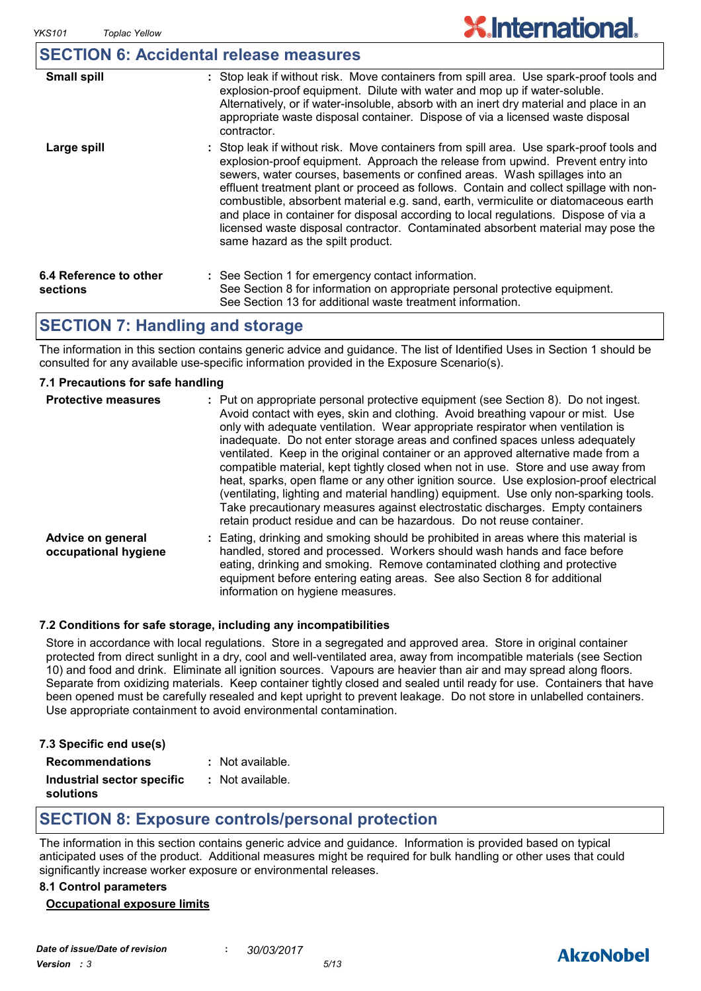### **SECTION 6: Accidental release measures**

| <b>Small spill</b>                 | : Stop leak if without risk. Move containers from spill area. Use spark-proof tools and<br>explosion-proof equipment. Dilute with water and mop up if water-soluble.<br>Alternatively, or if water-insoluble, absorb with an inert dry material and place in an<br>appropriate waste disposal container. Dispose of via a licensed waste disposal<br>contractor.                                                                                                                                                                                                                                                                                           |
|------------------------------------|------------------------------------------------------------------------------------------------------------------------------------------------------------------------------------------------------------------------------------------------------------------------------------------------------------------------------------------------------------------------------------------------------------------------------------------------------------------------------------------------------------------------------------------------------------------------------------------------------------------------------------------------------------|
| Large spill                        | : Stop leak if without risk. Move containers from spill area. Use spark-proof tools and<br>explosion-proof equipment. Approach the release from upwind. Prevent entry into<br>sewers, water courses, basements or confined areas. Wash spillages into an<br>effluent treatment plant or proceed as follows. Contain and collect spillage with non-<br>combustible, absorbent material e.g. sand, earth, vermiculite or diatomaceous earth<br>and place in container for disposal according to local regulations. Dispose of via a<br>licensed waste disposal contractor. Contaminated absorbent material may pose the<br>same hazard as the spilt product. |
| 6.4 Reference to other<br>sections | : See Section 1 for emergency contact information.<br>See Section 8 for information on appropriate personal protective equipment.<br>See Section 13 for additional waste treatment information.                                                                                                                                                                                                                                                                                                                                                                                                                                                            |

### **SECTION 7: Handling and storage**

The information in this section contains generic advice and guidance. The list of Identified Uses in Section 1 should be consulted for any available use-specific information provided in the Exposure Scenario(s).

#### **7.1 Precautions for safe handling**

| <b>Protective measures</b>                | : Put on appropriate personal protective equipment (see Section 8). Do not ingest.<br>Avoid contact with eyes, skin and clothing. Avoid breathing vapour or mist. Use<br>only with adequate ventilation. Wear appropriate respirator when ventilation is<br>inadequate. Do not enter storage areas and confined spaces unless adequately<br>ventilated. Keep in the original container or an approved alternative made from a<br>compatible material, kept tightly closed when not in use. Store and use away from<br>heat, sparks, open flame or any other ignition source. Use explosion-proof electrical<br>(ventilating, lighting and material handling) equipment. Use only non-sparking tools.<br>Take precautionary measures against electrostatic discharges. Empty containers<br>retain product residue and can be hazardous. Do not reuse container. |
|-------------------------------------------|----------------------------------------------------------------------------------------------------------------------------------------------------------------------------------------------------------------------------------------------------------------------------------------------------------------------------------------------------------------------------------------------------------------------------------------------------------------------------------------------------------------------------------------------------------------------------------------------------------------------------------------------------------------------------------------------------------------------------------------------------------------------------------------------------------------------------------------------------------------|
| Advice on general<br>occupational hygiene | Eating, drinking and smoking should be prohibited in areas where this material is<br>handled, stored and processed. Workers should wash hands and face before<br>eating, drinking and smoking. Remove contaminated clothing and protective<br>equipment before entering eating areas. See also Section 8 for additional<br>information on hygiene measures.                                                                                                                                                                                                                                                                                                                                                                                                                                                                                                    |

#### **7.2 Conditions for safe storage, including any incompatibilities**

Store in accordance with local regulations. Store in a segregated and approved area. Store in original container protected from direct sunlight in a dry, cool and well-ventilated area, away from incompatible materials (see Section 10) and food and drink. Eliminate all ignition sources. Vapours are heavier than air and may spread along floors. Separate from oxidizing materials. Keep container tightly closed and sealed until ready for use. Containers that have been opened must be carefully resealed and kept upright to prevent leakage. Do not store in unlabelled containers. Use appropriate containment to avoid environmental contamination.

|  | 7.3 Specific end use(s) |  |  |  |
|--|-------------------------|--|--|--|
|--|-------------------------|--|--|--|

**Recommendations :**

|  | Not available. |
|--|----------------|
|--|----------------|

**Industrial sector specific : solutions** : Not available.

## **SECTION 8: Exposure controls/personal protection**

The information in this section contains generic advice and guidance. Information is provided based on typical anticipated uses of the product. Additional measures might be required for bulk handling or other uses that could significantly increase worker exposure or environmental releases.

#### **8.1 Control parameters**

#### **Occupational exposure limits**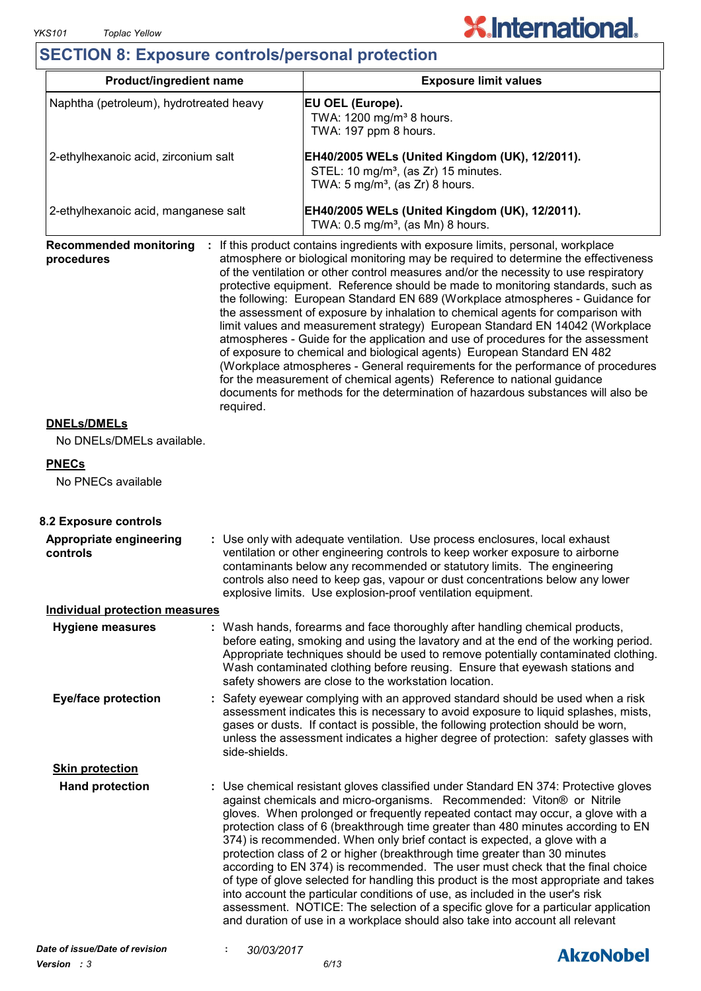## **SECTION 8: Exposure controls/personal protection**

| Product/ingredient name                     |               |            |                                                                                                                                                  | <b>Exposure limit values</b>                                                                                                                                                                                                                                                                                                                                                                                                                                                                                                                                                                                                                                                                                                                                                                                                                                                                                                                                                                                          |  |
|---------------------------------------------|---------------|------------|--------------------------------------------------------------------------------------------------------------------------------------------------|-----------------------------------------------------------------------------------------------------------------------------------------------------------------------------------------------------------------------------------------------------------------------------------------------------------------------------------------------------------------------------------------------------------------------------------------------------------------------------------------------------------------------------------------------------------------------------------------------------------------------------------------------------------------------------------------------------------------------------------------------------------------------------------------------------------------------------------------------------------------------------------------------------------------------------------------------------------------------------------------------------------------------|--|
| Naphtha (petroleum), hydrotreated heavy     |               |            | EU OEL (Europe).<br>TWA: 1200 mg/m <sup>3</sup> 8 hours.<br>TWA: 197 ppm 8 hours.                                                                |                                                                                                                                                                                                                                                                                                                                                                                                                                                                                                                                                                                                                                                                                                                                                                                                                                                                                                                                                                                                                       |  |
| 2-ethylhexanoic acid, zirconium salt        |               |            | EH40/2005 WELs (United Kingdom (UK), 12/2011).<br>STEL: 10 mg/m <sup>3</sup> , (as Zr) 15 minutes.<br>TWA: $5 \text{ mg/m}^3$ , (as Zr) 8 hours. |                                                                                                                                                                                                                                                                                                                                                                                                                                                                                                                                                                                                                                                                                                                                                                                                                                                                                                                                                                                                                       |  |
| 2-ethylhexanoic acid, manganese salt        |               |            | EH40/2005 WELs (United Kingdom (UK), 12/2011).<br>TWA: $0.5 \text{ mg/m}^3$ , (as Mn) 8 hours.                                                   |                                                                                                                                                                                                                                                                                                                                                                                                                                                                                                                                                                                                                                                                                                                                                                                                                                                                                                                                                                                                                       |  |
| <b>Recommended monitoring</b><br>procedures | required.     |            |                                                                                                                                                  | : If this product contains ingredients with exposure limits, personal, workplace<br>atmosphere or biological monitoring may be required to determine the effectiveness<br>of the ventilation or other control measures and/or the necessity to use respiratory<br>protective equipment. Reference should be made to monitoring standards, such as<br>the following: European Standard EN 689 (Workplace atmospheres - Guidance for<br>the assessment of exposure by inhalation to chemical agents for comparison with<br>limit values and measurement strategy) European Standard EN 14042 (Workplace<br>atmospheres - Guide for the application and use of procedures for the assessment<br>of exposure to chemical and biological agents) European Standard EN 482<br>(Workplace atmospheres - General requirements for the performance of procedures<br>for the measurement of chemical agents) Reference to national guidance<br>documents for methods for the determination of hazardous substances will also be |  |
| <b>DNELs/DMELs</b>                          |               |            |                                                                                                                                                  |                                                                                                                                                                                                                                                                                                                                                                                                                                                                                                                                                                                                                                                                                                                                                                                                                                                                                                                                                                                                                       |  |
| No DNELs/DMELs available.                   |               |            |                                                                                                                                                  |                                                                                                                                                                                                                                                                                                                                                                                                                                                                                                                                                                                                                                                                                                                                                                                                                                                                                                                                                                                                                       |  |
| <b>PNECs</b><br>No PNECs available          |               |            |                                                                                                                                                  |                                                                                                                                                                                                                                                                                                                                                                                                                                                                                                                                                                                                                                                                                                                                                                                                                                                                                                                                                                                                                       |  |
| 8.2 Exposure controls                       |               |            |                                                                                                                                                  |                                                                                                                                                                                                                                                                                                                                                                                                                                                                                                                                                                                                                                                                                                                                                                                                                                                                                                                                                                                                                       |  |
| Appropriate engineering<br>controls         |               |            | explosive limits. Use explosion-proof ventilation equipment.                                                                                     | : Use only with adequate ventilation. Use process enclosures, local exhaust<br>ventilation or other engineering controls to keep worker exposure to airborne<br>contaminants below any recommended or statutory limits. The engineering<br>controls also need to keep gas, vapour or dust concentrations below any lower                                                                                                                                                                                                                                                                                                                                                                                                                                                                                                                                                                                                                                                                                              |  |
| <b>Individual protection measures</b>       |               |            |                                                                                                                                                  |                                                                                                                                                                                                                                                                                                                                                                                                                                                                                                                                                                                                                                                                                                                                                                                                                                                                                                                                                                                                                       |  |
| <b>Hygiene measures</b>                     |               |            | safety showers are close to the workstation location.                                                                                            | : Wash hands, forearms and face thoroughly after handling chemical products,<br>before eating, smoking and using the lavatory and at the end of the working period.<br>Appropriate techniques should be used to remove potentially contaminated clothing.<br>Wash contaminated clothing before reusing. Ensure that eyewash stations and                                                                                                                                                                                                                                                                                                                                                                                                                                                                                                                                                                                                                                                                              |  |
| <b>Eye/face protection</b>                  | side-shields. |            |                                                                                                                                                  | : Safety eyewear complying with an approved standard should be used when a risk<br>assessment indicates this is necessary to avoid exposure to liquid splashes, mists,<br>gases or dusts. If contact is possible, the following protection should be worn,<br>unless the assessment indicates a higher degree of protection: safety glasses with                                                                                                                                                                                                                                                                                                                                                                                                                                                                                                                                                                                                                                                                      |  |
| <b>Skin protection</b>                      |               |            |                                                                                                                                                  |                                                                                                                                                                                                                                                                                                                                                                                                                                                                                                                                                                                                                                                                                                                                                                                                                                                                                                                                                                                                                       |  |
| <b>Hand protection</b>                      |               |            |                                                                                                                                                  | : Use chemical resistant gloves classified under Standard EN 374: Protective gloves<br>against chemicals and micro-organisms. Recommended: Viton® or Nitrile<br>gloves. When prolonged or frequently repeated contact may occur, a glove with a<br>protection class of 6 (breakthrough time greater than 480 minutes according to EN<br>374) is recommended. When only brief contact is expected, a glove with a<br>protection class of 2 or higher (breakthrough time greater than 30 minutes<br>according to EN 374) is recommended. The user must check that the final choice<br>of type of glove selected for handling this product is the most appropriate and takes<br>into account the particular conditions of use, as included in the user's risk<br>assessment. NOTICE: The selection of a specific glove for a particular application<br>and duration of use in a workplace should also take into account all relevant                                                                                     |  |
| Date of issue/Date of revision              |               | 30/03/2017 |                                                                                                                                                  | <b>Alizablahal</b>                                                                                                                                                                                                                                                                                                                                                                                                                                                                                                                                                                                                                                                                                                                                                                                                                                                                                                                                                                                                    |  |

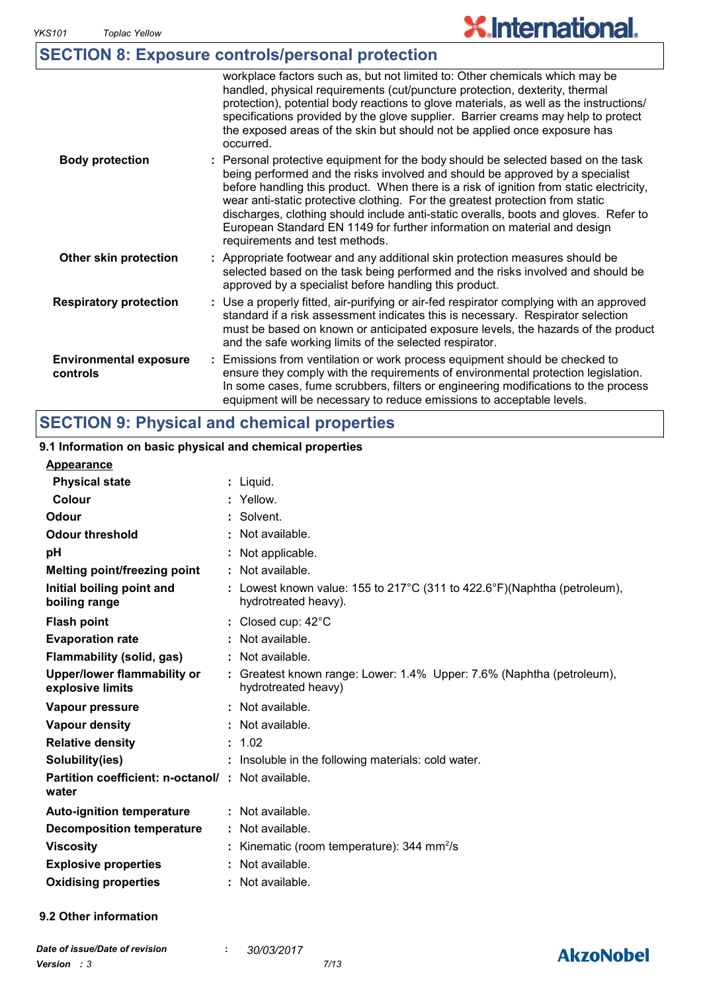**AkzoNobel** 

|                                           | <b>SECTION 8: Exposure controls/personal protection</b>                                                                                                                                                                                                                                                                                                                                                                                                                                                                                              |
|-------------------------------------------|------------------------------------------------------------------------------------------------------------------------------------------------------------------------------------------------------------------------------------------------------------------------------------------------------------------------------------------------------------------------------------------------------------------------------------------------------------------------------------------------------------------------------------------------------|
|                                           | workplace factors such as, but not limited to: Other chemicals which may be<br>handled, physical requirements (cut/puncture protection, dexterity, thermal<br>protection), potential body reactions to glove materials, as well as the instructions/<br>specifications provided by the glove supplier. Barrier creams may help to protect<br>the exposed areas of the skin but should not be applied once exposure has<br>occurred.                                                                                                                  |
| <b>Body protection</b>                    | : Personal protective equipment for the body should be selected based on the task<br>being performed and the risks involved and should be approved by a specialist<br>before handling this product. When there is a risk of ignition from static electricity,<br>wear anti-static protective clothing. For the greatest protection from static<br>discharges, clothing should include anti-static overalls, boots and gloves. Refer to<br>European Standard EN 1149 for further information on material and design<br>requirements and test methods. |
| Other skin protection                     | : Appropriate footwear and any additional skin protection measures should be<br>selected based on the task being performed and the risks involved and should be<br>approved by a specialist before handling this product.                                                                                                                                                                                                                                                                                                                            |
| <b>Respiratory protection</b>             | : Use a properly fitted, air-purifying or air-fed respirator complying with an approved<br>standard if a risk assessment indicates this is necessary. Respirator selection<br>must be based on known or anticipated exposure levels, the hazards of the product<br>and the safe working limits of the selected respirator.                                                                                                                                                                                                                           |
| <b>Environmental exposure</b><br>controls | : Emissions from ventilation or work process equipment should be checked to<br>ensure they comply with the requirements of environmental protection legislation.<br>In some cases, fume scrubbers, filters or engineering modifications to the process<br>equipment will be necessary to reduce emissions to acceptable levels.                                                                                                                                                                                                                      |

#### Liquid. **: Appearance** Lowest known value: 155 to 217°C (311 to 422.6°F)(Naphtha (petroleum), **:** hydrotreated heavy). **Physical state Melting point/freezing point Initial boiling point and boiling range Vapour pressure Relative density Vapour density Solubility(ies)** Not available. **:** 1.02 **:** Not available. **:** Not available. **:** : Insoluble in the following materials: cold water. **Odour** Solvent. **pH Colour**  $\qquad \qquad : \qquad \text{Yellow}.$ **Evaporation rate Auto-ignition temperature Flash point** Not available. **:** Closed cup: 42°C **:** Greatest known range: Lower: 1.4% Upper: 7.6% (Naphtha (petroleum), **:** hydrotreated heavy) Not available. **: Partition coefficient: n-octanol/ : Not available.** Not applicable. **: Viscosity Kinematic (room temperature): 344 mm<sup>2</sup>/s Odour threshold water Upper/lower flammability or explosive limits Explosive properties : : Oxidising properties :** Not available. **9.1 Information on basic physical and chemical properties 9.2 Other information Decomposition temperature :** Not available. **SECTION 9: Physical and chemical properties Flammability (solid, gas) :** Not available.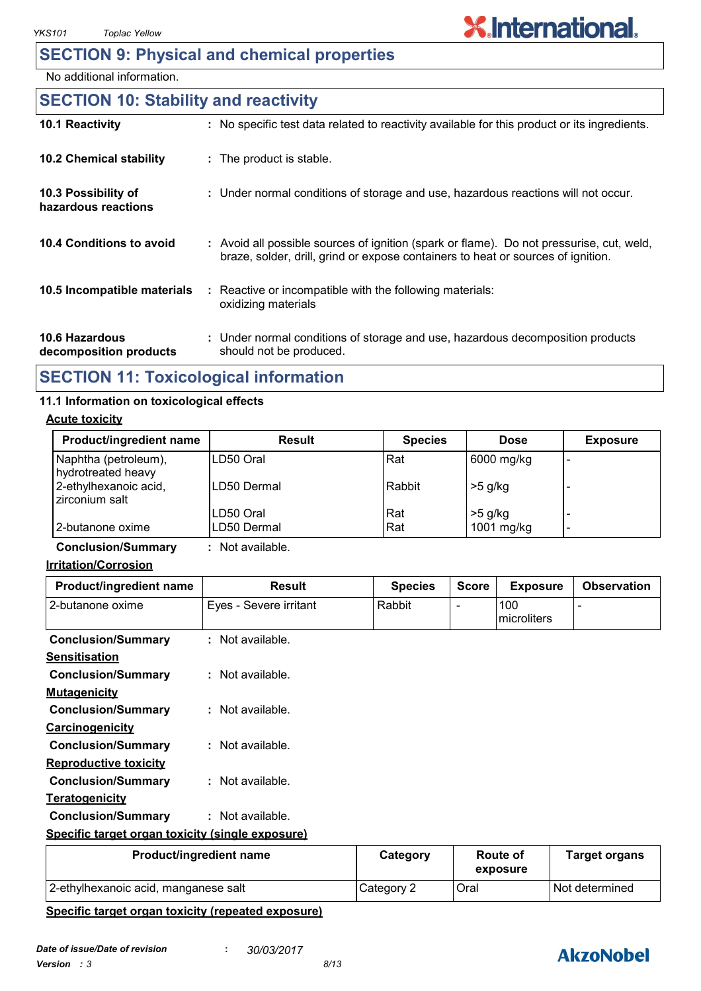## **SECTION 9: Physical and chemical properties**

No additional information.

#### **10.6 Hazardous decomposition products 10.4 Conditions to avoid** : Avoid all possible sources of ignition (spark or flame). Do not pressurise, cut, weld, braze, solder, drill, grind or expose containers to heat or sources of ignition. Under normal conditions of storage and use, hazardous decomposition products **:** should not be produced. **10.2 Chemical stability** Reactive or incompatible with the following materials: oxidizing materials **: 10.5 Incompatible materials : 10.3 Possibility of hazardous reactions :** Under normal conditions of storage and use, hazardous reactions will not occur. **SECTION 10: Stability and reactivity 10.1 Reactivity :** No specific test data related to reactivity available for this product or its ingredients.

## **SECTION 11: Toxicological information**

#### **11.1 Information on toxicological effects**

#### **Acute toxicity**

| Product/ingredient name                    | Result              | <b>Species</b> | <b>Dose</b> | <b>Exposure</b> |
|--------------------------------------------|---------------------|----------------|-------------|-----------------|
| Naphtha (petroleum),<br>hydrotreated heavy | ILD50 Oral          | Rat            | 6000 mg/kg  |                 |
| 2-ethylhexanoic acid,<br>zirconium salt    | <b>ILD50 Dermal</b> | Rabbit         | $>5$ g/kg   |                 |
|                                            | LD50 Oral           | Rat            | $>5$ g/kg   |                 |
| l 2-butanone oxime                         | ILD50 Dermal        | Rat            | 1001 mg/kg  | -               |

**Conclusion/Summary :** Not available.

#### **Irritation/Corrosion**

| Product/ingredient name                          | <b>Result</b>           | <b>Species</b> | <b>Score</b> | <b>Exposure</b>    | <b>Observation</b>   |
|--------------------------------------------------|-------------------------|----------------|--------------|--------------------|----------------------|
| 2-butanone oxime                                 | Eyes - Severe irritant  | Rabbit         |              | 100<br>microliters |                      |
| <b>Conclusion/Summary</b>                        | $:$ Not available.      |                |              |                    |                      |
| <b>Sensitisation</b>                             |                         |                |              |                    |                      |
| <b>Conclusion/Summary</b>                        | $:$ Not available.      |                |              |                    |                      |
| <b>Mutagenicity</b>                              |                         |                |              |                    |                      |
| <b>Conclusion/Summary</b>                        | $:$ Not available.      |                |              |                    |                      |
| <b>Carcinogenicity</b>                           |                         |                |              |                    |                      |
| <b>Conclusion/Summary</b>                        | $:$ Not available.      |                |              |                    |                      |
| <b>Reproductive toxicity</b>                     |                         |                |              |                    |                      |
| <b>Conclusion/Summary</b>                        | : Not available.        |                |              |                    |                      |
| <u>Teratogenicity</u>                            |                         |                |              |                    |                      |
| <b>Conclusion/Summary</b>                        | : Not available.        |                |              |                    |                      |
| Specific target organ toxicity (single exposure) |                         |                |              |                    |                      |
|                                                  | Product/ingredient name | Category       |              | <b>Route of</b>    | <b>Target organs</b> |

| Product/ingredient name              | Category   | Route of<br>exposure | l arget organs   |
|--------------------------------------|------------|----------------------|------------------|
| 2-ethylhexanoic acid, manganese salt | Category 2 | Oral                 | l Not determined |

#### **Specific target organ toxicity (repeated exposure)**

## **AkzoNobel**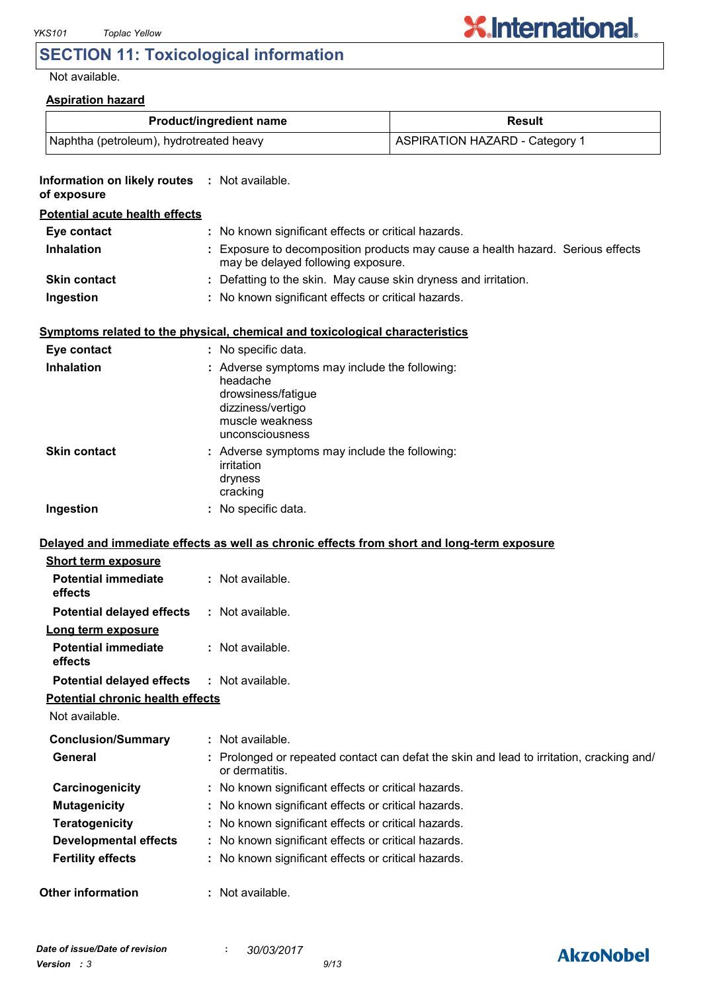## **SECTION 11: Toxicological information**

#### Not available.

| <b>Aspiration hazard</b> |
|--------------------------|
|--------------------------|

|                                                              | Product/ingredient name                                                                                                                    | Result                                                                                   |
|--------------------------------------------------------------|--------------------------------------------------------------------------------------------------------------------------------------------|------------------------------------------------------------------------------------------|
| Naphtha (petroleum), hydrotreated heavy                      |                                                                                                                                            | <b>ASPIRATION HAZARD - Category 1</b>                                                    |
| Information on likely routes : Not available.<br>of exposure |                                                                                                                                            |                                                                                          |
| <b>Potential acute health effects</b>                        |                                                                                                                                            |                                                                                          |
| Eye contact                                                  | : No known significant effects or critical hazards.                                                                                        |                                                                                          |
| <b>Inhalation</b>                                            | may be delayed following exposure.                                                                                                         | : Exposure to decomposition products may cause a health hazard. Serious effects          |
| <b>Skin contact</b>                                          | : Defatting to the skin. May cause skin dryness and irritation.                                                                            |                                                                                          |
| Ingestion                                                    | : No known significant effects or critical hazards.                                                                                        |                                                                                          |
|                                                              | Symptoms related to the physical, chemical and toxicological characteristics                                                               |                                                                                          |
| Eye contact                                                  | : No specific data.                                                                                                                        |                                                                                          |
| <b>Inhalation</b>                                            | : Adverse symptoms may include the following:<br>headache<br>drowsiness/fatigue<br>dizziness/vertigo<br>muscle weakness<br>unconsciousness |                                                                                          |
| <b>Skin contact</b>                                          | : Adverse symptoms may include the following:<br>irritation<br>dryness<br>cracking                                                         |                                                                                          |
| Ingestion                                                    | : No specific data.                                                                                                                        |                                                                                          |
|                                                              | Delayed and immediate effects as well as chronic effects from short and long-term exposure                                                 |                                                                                          |
| <b>Short term exposure</b>                                   |                                                                                                                                            |                                                                                          |
| <b>Potential immediate</b><br>effects                        | : Not available.                                                                                                                           |                                                                                          |
| <b>Potential delayed effects</b>                             | : Not available.                                                                                                                           |                                                                                          |
| Long term exposure<br><b>Potential immediate</b><br>effects  | : Not available.                                                                                                                           |                                                                                          |
| <b>Potential delayed effects</b>                             | : Not available.                                                                                                                           |                                                                                          |
| <b>Potential chronic health effects</b>                      |                                                                                                                                            |                                                                                          |
| Not available.                                               |                                                                                                                                            |                                                                                          |
| <b>Conclusion/Summary</b>                                    | : Not available.                                                                                                                           |                                                                                          |
| General                                                      |                                                                                                                                            | : Prolonged or repeated contact can defat the skin and lead to irritation, cracking and/ |
|                                                              | or dermatitis.                                                                                                                             |                                                                                          |
| Carcinogenicity                                              | : No known significant effects or critical hazards.                                                                                        |                                                                                          |
| <b>Mutagenicity</b>                                          | : No known significant effects or critical hazards.                                                                                        |                                                                                          |
| <b>Teratogenicity</b>                                        | : No known significant effects or critical hazards.                                                                                        |                                                                                          |
| <b>Developmental effects</b>                                 | : No known significant effects or critical hazards.                                                                                        |                                                                                          |
| <b>Fertility effects</b>                                     | : No known significant effects or critical hazards.                                                                                        |                                                                                          |
| <b>Other information</b>                                     | : Not available.                                                                                                                           |                                                                                          |

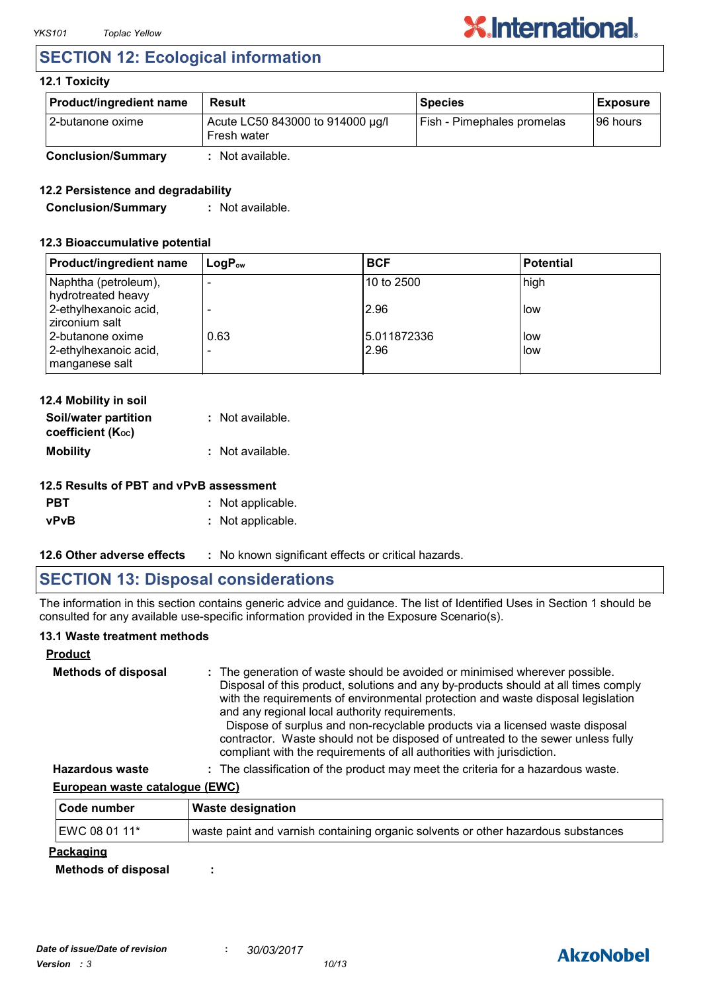## **SECTION 12: Ecological information**

#### **12.1 Toxicity**

| <b>Product/ingredient name</b> | <b>Result</b>                                   | <b>Species</b>             | <b>Exposure</b> |
|--------------------------------|-------------------------------------------------|----------------------------|-----------------|
| l 2-butanone oxime             | Acute LC50 843000 to 914000 µg/l<br>Fresh water | Fish - Pimephales promelas | 196 hours       |
| <b>Conclusion/Summary</b>      | : Not available.                                |                            |                 |

#### **12.2 Persistence and degradability**

**Conclusion/Summary :** Not available.

#### **12.3 Bioaccumulative potential**

| <b>Product/ingredient name</b>             | $LogP_{ow}$ | <b>BCF</b>           | <b>Potential</b> |
|--------------------------------------------|-------------|----------------------|------------------|
| Naphtha (petroleum),<br>hydrotreated heavy |             | l10 to 2500          | high             |
| 2-ethylhexanoic acid,<br>zirconium salt    |             | 2.96                 | low              |
| 2-butanone oxime<br>2-ethylhexanoic acid,  | 0.63        | 15.011872336<br>2.96 | low<br>low       |
| manganese salt                             |             |                      |                  |

| 12.4 Mobility in soil                     |                  |
|-------------------------------------------|------------------|
| Soil/water partition<br>coefficient (Koc) | : Not available. |
| <b>Mobility</b>                           | : Not available. |

#### **12.5 Results of PBT and vPvB assessment**

| <b>PBT</b>  | : Not applicable. |
|-------------|-------------------|
| <b>vPvB</b> | : Not applicable. |

**12.6 Other adverse effects** : No known significant effects or critical hazards.

## **SECTION 13: Disposal considerations**

The information in this section contains generic advice and guidance. The list of Identified Uses in Section 1 should be consulted for any available use-specific information provided in the Exposure Scenario(s).

#### **13.1 Waste treatment methods**

#### **Product**

| <b>Methods of disposal</b> | : The generation of waste should be avoided or minimised wherever possible.<br>Disposal of this product, solutions and any by-products should at all times comply<br>with the requirements of environmental protection and waste disposal legislation<br>and any regional local authority requirements.<br>Dispose of surplus and non-recyclable products via a licensed waste disposal<br>contractor. Waste should not be disposed of untreated to the sewer unless fully<br>compliant with the requirements of all authorities with jurisdiction. |
|----------------------------|-----------------------------------------------------------------------------------------------------------------------------------------------------------------------------------------------------------------------------------------------------------------------------------------------------------------------------------------------------------------------------------------------------------------------------------------------------------------------------------------------------------------------------------------------------|
| Hazardous waste            | . The classification of the product may meet the criteria for a hazardous waste                                                                                                                                                                                                                                                                                                                                                                                                                                                                     |

**Hazardous waste :** The classification of the product may meet the criteria for a hazardous waste.

#### **European waste catalogue (EWC)**

| Code number      | Waste designation                                                                 |
|------------------|-----------------------------------------------------------------------------------|
| EWC 08 01 11*    | waste paint and varnish containing organic solvents or other hazardous substances |
| <u>Packaging</u> |                                                                                   |

**Methods of disposal :**

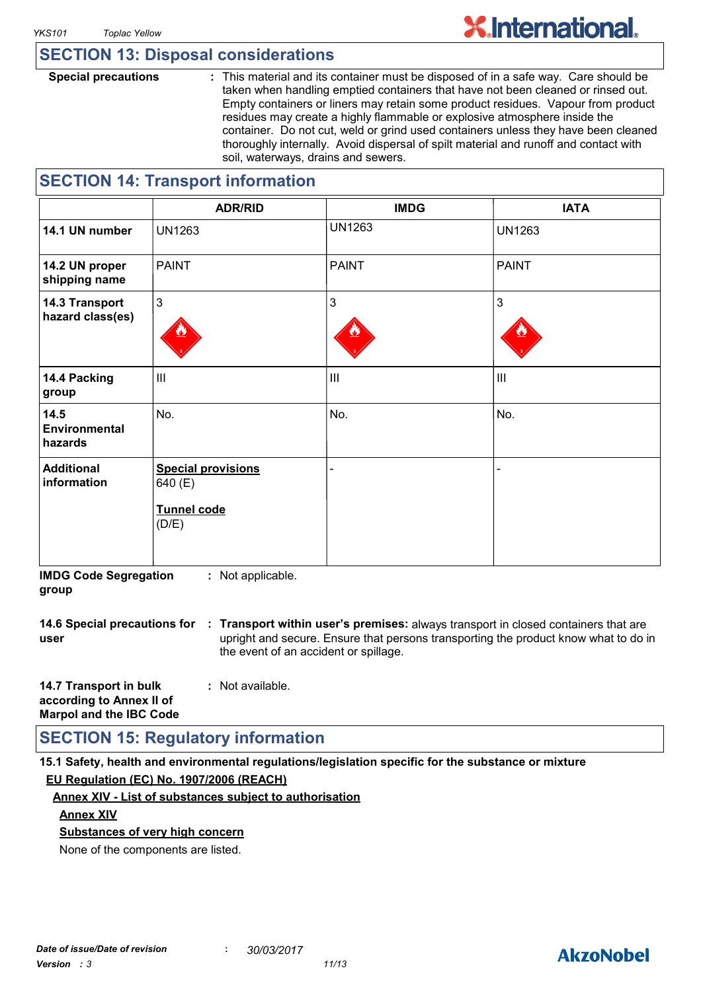## **SECTION 13: Disposal considerations**

**Special precautions :** This material and its container must be disposed of in a safe way. Care should be taken when handling emptied containers that have not been cleaned or rinsed out. Empty containers or liners may retain some product residues. Vapour from product residues may create a highly flammable or explosive atmosphere inside the container. Do not cut, weld or grind used containers unless they have been cleaned thoroughly internally. Avoid dispersal of spilt material and runoff and contact with soil, waterways, drains and sewers.

## **SECTION 14: Transport information**

|                                    | <b>ADR/RID</b>                                                      | <b>IMDG</b>    | <b>IATA</b>    |
|------------------------------------|---------------------------------------------------------------------|----------------|----------------|
| 14.1 UN number                     | <b>UN1263</b>                                                       | <b>UN1263</b>  | <b>UN1263</b>  |
| 14.2 UN proper<br>shipping name    | <b>PAINT</b>                                                        | <b>PAINT</b>   | <b>PAINT</b>   |
| 14.3 Transport<br>hazard class(es) | $\mathfrak{Z}$                                                      | 3              | $\overline{3}$ |
| 14.4 Packing<br>group              | $\mathbf{III}$                                                      | $\mathbf{III}$ | $\mathbf{III}$ |
| 14.5<br>Environmental<br>hazards   | No.                                                                 | No.            | No.            |
| <b>Additional</b><br>information   | <b>Special provisions</b><br>640 (E)<br><b>Tunnel code</b><br>(D/E) |                |                |

**IMDG Code Segregation group :** Not applicable.

**14.6 Special precautions for : Transport within user's premises:** always transport in closed containers that are **user** upright and secure. Ensure that persons transporting the product know what to do in the event of an accident or spillage.

| 14.7 Transport in bulk         | : Not available. |
|--------------------------------|------------------|
| according to Annex II of       |                  |
| <b>Marpol and the IBC Code</b> |                  |

## **SECTION 15: Regulatory information**

**15.1 Safety, health and environmental regulations/legislation specific for the substance or mixture EU Regulation (EC) No. 1907/2006 (REACH)**

#### **Annex XIV - List of substances subject to authorisation**

#### **Annex XIV**

**Substances of very high concern**

None of the components are listed.

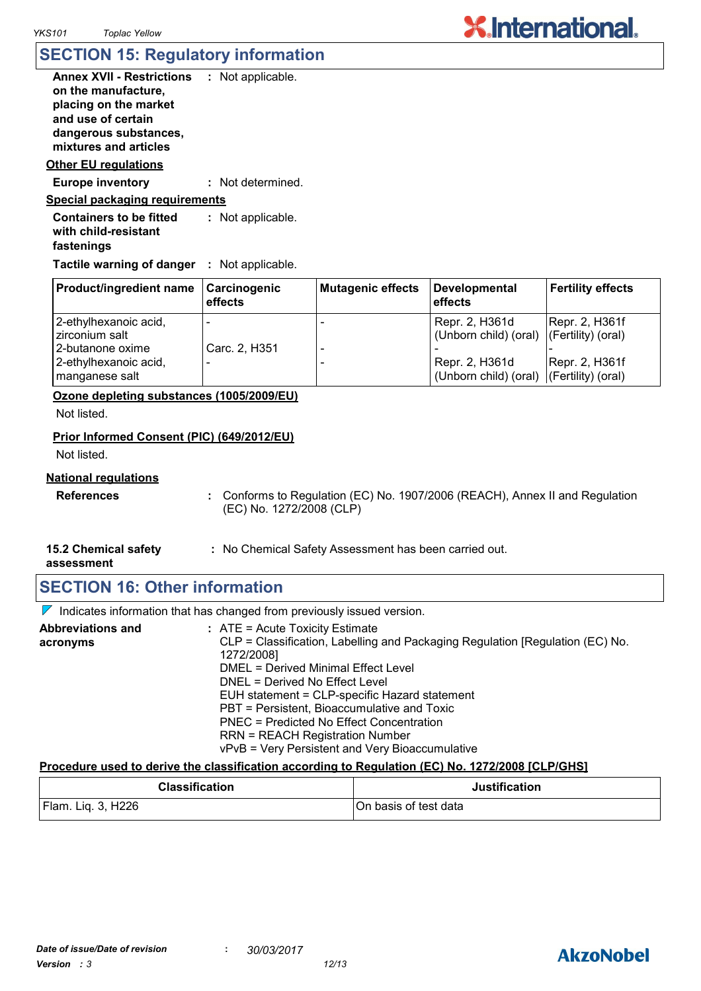## **SECTION 15: Regulatory information**

| <b>Annex XVII - Restrictions</b><br>on the manufacture,<br>placing on the market<br>and use of certain<br>dangerous substances,<br>mixtures and articles | : Not applicable. |
|----------------------------------------------------------------------------------------------------------------------------------------------------------|-------------------|
|                                                                                                                                                          |                   |
| <b>Other EU regulations</b>                                                                                                                              |                   |
| <b>Europe inventory</b>                                                                                                                                  | : Not determined. |
| <u>Special packaging requirements</u>                                                                                                                    |                   |
| <b>Containers to be fitted</b><br>with child-resistant<br>fastenings                                                                                     | : Not applicable. |

**Tactile warning of danger : Not applicable.** 

| <b>Product/ingredient name</b>          | Carcinogenic<br>effects  | <b>Mutagenic effects</b> | Developmental<br>effects                                   | <b>Fertility effects</b> |
|-----------------------------------------|--------------------------|--------------------------|------------------------------------------------------------|--------------------------|
| 2-ethylhexanoic acid,<br>zirconium salt | $\overline{\phantom{a}}$ |                          | Repr. 2, H361d<br>(Unborn child) (oral) (Fertility) (oral) | Repr. 2, H361f           |
| 2-butanone oxime                        | Carc. 2, H351            |                          |                                                            |                          |
| 2-ethylhexanoic acid,<br>manganese salt |                          |                          | Repr. 2, H361d<br>(Unborn child) (oral) (Fertility) (oral) | Repr. 2, H361f           |

**Ozone depleting substances (1005/2009/EU)**

Not listed.

#### **Prior Informed Consent (PIC) (649/2012/EU)**

Not listed.

#### **National regulations**

**References :** Conforms to Regulation (EC) No. 1907/2006 (REACH), Annex II and Regulation (EC) No. 1272/2008 (CLP)

**X.International.** 

**15.2 Chemical safety :** No Chemical Safety Assessment has been carried out.

**assessment**

## **SECTION 16: Other information**

 $\nabla$  Indicates information that has changed from previously issued version.

| <b>Abbreviations and</b> | $:$ ATE = Acute Toxicity Estimate                                             |
|--------------------------|-------------------------------------------------------------------------------|
| acronyms                 | CLP = Classification, Labelling and Packaging Regulation [Regulation (EC) No. |
|                          | 1272/2008]                                                                    |
|                          | <b>DMEL = Derived Minimal Effect Level</b>                                    |
|                          | DNEL = Derived No Effect Level                                                |
|                          | EUH statement = CLP-specific Hazard statement                                 |
|                          | PBT = Persistent, Bioaccumulative and Toxic                                   |
|                          | PNEC = Predicted No Effect Concentration                                      |
|                          | <b>RRN = REACH Registration Number</b>                                        |
|                          | vPvB = Very Persistent and Very Bioaccumulative                               |

#### **Procedure used to derive the classification according to Regulation (EC) No. 1272/2008 [CLP/GHS]**

| <b>Classification</b> | <b>Justification</b>  |
|-----------------------|-----------------------|
| Flam. Liq. 3, H226    | On basis of test data |

## **AkzoNobel**